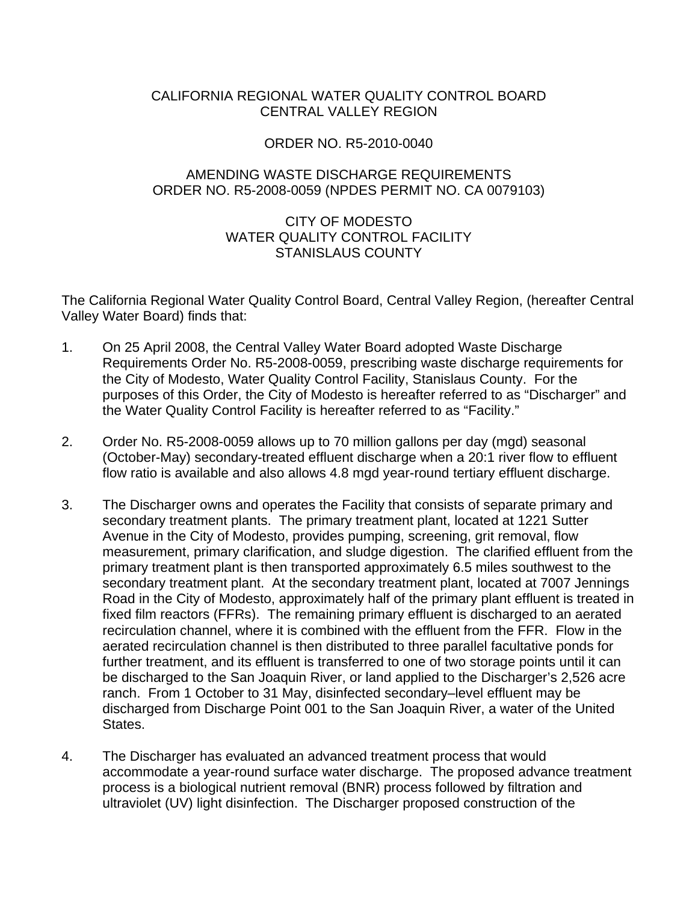## <span id="page-0-0"></span>CALIFORNIA REGIONAL WATER QUALITY CONTROL BOARD CENTRAL VALLEY REGION

### ORDER NO. R5-2010-0040

### AMENDING WASTE DISCHARGE REQUIREMENTS ORDER NO. R5-2008-0059 (NPDES PERMIT NO. CA 0079103)

## CITY OF MODESTO WATER QUALITY CONTROL FACILITY STANISLAUS COUNTY

The California Regional Water Quality Control Board, Central Valley Region, (hereafter Central Valley Water Board) finds that:

- 1. On 25 April 2008, the Central Valley Water Board adopted Waste Discharge Requirements Order No. R5-2008-0059, prescribing waste discharge requirements for the City of Modesto, Water Quality Control Facility, Stanislaus County. For the purposes of this Order, the City of Modesto is hereafter referred to as "Discharger" and the Water Quality Control Facility is hereafter referred to as "Facility."
- 2. Order No. R5-2008-0059 allows up to 70 million gallons per day (mgd) seasonal (October-May) secondary-treated effluent discharge when a 20:1 river flow to effluent flow ratio is available and also allows 4.8 mgd year-round tertiary effluent discharge.
- 3. The Discharger owns and operates the Facility that consists of separate primary and secondary treatment plants. The primary treatment plant, located at 1221 Sutter Avenue in the City of Modesto, provides pumping, screening, grit removal, flow measurement, primary clarification, and sludge digestion. The clarified effluent from the primary treatment plant is then transported approximately 6.5 miles southwest to the secondary treatment plant. At the secondary treatment plant, located at 7007 Jennings Road in the City of Modesto, approximately half of the primary plant effluent is treated in fixed film reactors (FFRs). The remaining primary effluent is discharged to an aerated recirculation channel, where it is combined with the effluent from the FFR. Flow in the aerated recirculation channel is then distributed to three parallel facultative ponds for further treatment, and its effluent is transferred to one of two storage points until it can be discharged to the San Joaquin River, or land applied to the Discharger's 2,526 acre ranch. From 1 October to 31 May, disinfected secondary–level effluent may be discharged from Discharge Point 001 to the San Joaquin River, a water of the United States.
- 4. The Discharger has evaluated an advanced treatment process that would accommodate a year-round surface water discharge. The proposed advance treatment process is a biological nutrient removal (BNR) process followed by filtration and ultraviolet (UV) light disinfection. The Discharger proposed construction of the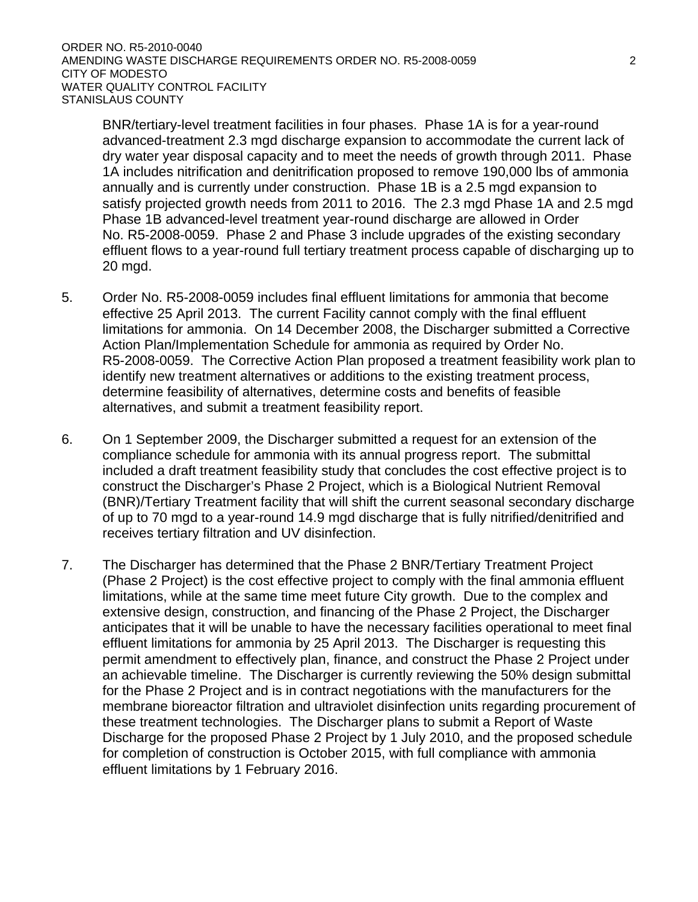BNR/tertiary-level treatment facilities in four phases. Phase 1A is for a year-round advanced-treatment 2.3 mgd discharge expansion to accommodate the current lack of dry water year disposal capacity and to meet the needs of growth through 2011. Phase 1A includes nitrification and denitrification proposed to remove 190,000 lbs of ammonia annually and is currently under construction. Phase 1B is a 2.5 mgd expansion to satisfy projected growth needs from 2011 to 2016. The 2.3 mgd Phase 1A and 2.5 mgd Phase 1B advanced-level treatment year-round discharge are allowed in Order No. R5-2008-0059. Phase 2 and Phase 3 include upgrades of the existing secondary effluent flows to a year-round full tertiary treatment process capable of discharging up to 20 mgd.

- 5. Order No. R5-2008-0059 includes final effluent limitations for ammonia that become effective 25 April 2013. The current Facility cannot comply with the final effluent limitations for ammonia. On 14 December 2008, the Discharger submitted a Corrective Action Plan/Implementation Schedule for ammonia as required by Order No. R5-2008-0059. The Corrective Action Plan proposed a treatment feasibility work plan to identify new treatment alternatives or additions to the existing treatment process, determine feasibility of alternatives, determine costs and benefits of feasible alternatives, and submit a treatment feasibility report.
- 6. On 1 September 2009, the Discharger submitted a request for an extension of the compliance schedule for ammonia with its annual progress report. The submittal included a draft treatment feasibility study that concludes the cost effective project is to construct the Discharger's Phase 2 Project, which is a Biological Nutrient Removal (BNR)/Tertiary Treatment facility that will shift the current seasonal secondary discharge of up to 70 mgd to a year-round 14.9 mgd discharge that is fully nitrified/denitrified and receives tertiary filtration and UV disinfection.
- 7. The Discharger has determined that the Phase 2 BNR/Tertiary Treatment Project (Phase 2 Project) is the cost effective project to comply with the final ammonia effluent limitations, while at the same time meet future City growth. Due to the complex and extensive design, construction, and financing of the Phase 2 Project, the Discharger anticipates that it will be unable to have the necessary facilities operational to meet final effluent limitations for ammonia by 25 April 2013. The Discharger is requesting this permit amendment to effectively plan, finance, and construct the Phase 2 Project under an achievable timeline. The Discharger is currently reviewing the 50% design submittal for the Phase 2 Project and is in contract negotiations with the manufacturers for the membrane bioreactor filtration and ultraviolet disinfection units regarding procurement of these treatment technologies. The Discharger plans to submit a Report of Waste Discharge for the proposed Phase 2 Project by 1 July 2010, and the proposed schedule for completion of construction is October 2015, with full compliance with ammonia effluent limitations by 1 February 2016.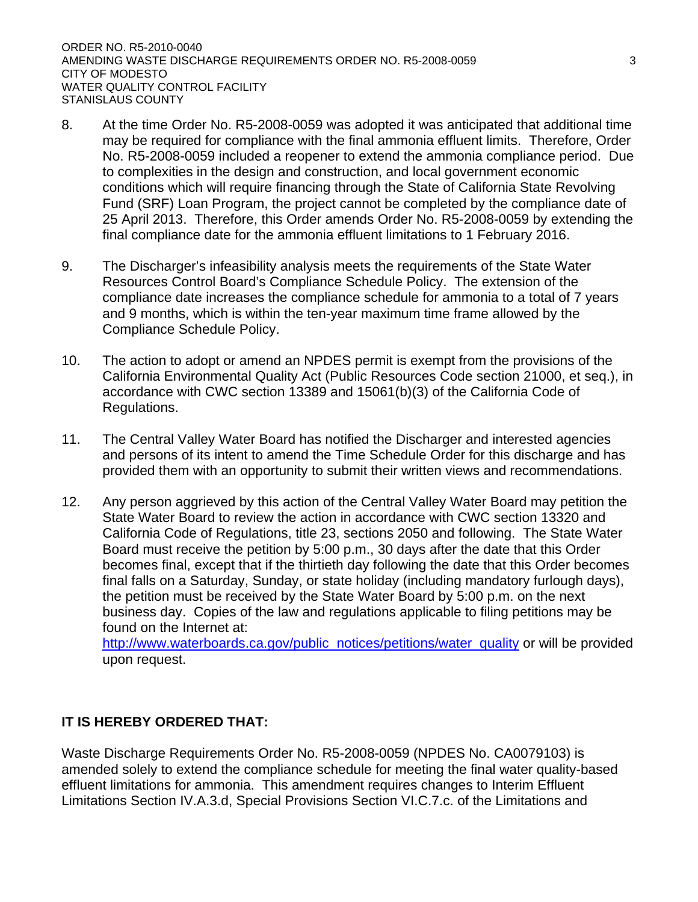- 8. At the time Order No. R5-2008-0059 was adopted it was anticipated that additional time may be required for compliance with the final ammonia effluent limits. Therefore, Order No. R5-2008-0059 included a reopener to extend the ammonia compliance period. Due to complexities in the design and construction, and local government economic conditions which will require financing through the State of California State Revolving Fund (SRF) Loan Program, the project cannot be completed by the compliance date of 25 April 2013. Therefore, this Order amends Order No. R5-2008-0059 by extending the final compliance date for the ammonia effluent limitations to 1 February 2016.
- 9. The Discharger's infeasibility analysis meets the requirements of the State Water Resources Control Board's Compliance Schedule Policy. The extension of the compliance date increases the compliance schedule for ammonia to a total of 7 years and 9 months, which is within the ten-year maximum time frame allowed by the Compliance Schedule Policy.
- 10. The action to adopt or amend an NPDES permit is exempt from the provisions of the California Environmental Quality Act (Public Resources Code section 21000, et seq.), in accordance with CWC section 13389 and 15061(b)(3) of the California Code of Regulations.
- 11. The Central Valley Water Board has notified the Discharger and interested agencies and persons of its intent to amend the Time Schedule Order for this discharge and has provided them with an opportunity to submit their written views and recommendations.
- 12. Any person aggrieved by this action of the Central Valley Water Board may petition the State Water Board to review the action in accordance with CWC section 13320 and California Code of Regulations, title 23, sections 2050 and following. The State Water Board must receive the petition by 5:00 p.m., 30 days after the date that this Order becomes final, except that if the thirtieth day following the date that this Order becomes final falls on a Saturday, Sunday, or state holiday (including mandatory furlough days), the petition must be received by the State Water Board by 5:00 p.m. on the next business day. Copies of the law and regulations applicable to filing petitions may be found on the Internet at:

http://www.waterboards.ca.gov/public\_notices/petitions/water\_quality or will be provided upon request.

# **IT IS HEREBY ORDERED THAT:**

Waste Discharge Requirements Order No. R5-2008-0059 (NPDES No. CA0079103) is amended solely to extend the compliance schedule for meeting the final water quality-based effluent limitations for ammonia. This amendment requires changes to Interim Effluent Limitations Section IV.A.3.d, Special Provisions Section VI.C.7.c. of the Limitations and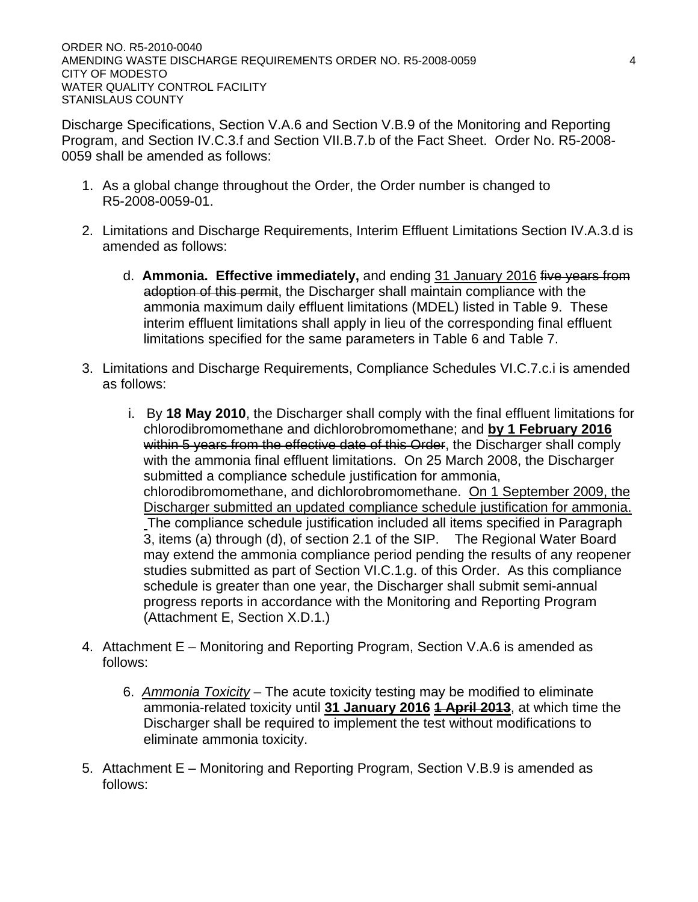Discharge Specifications, Section V.A.6 and Section V.B.9 of the Monitoring and Reporting Program, and Section IV.C.3.f and Section VII.B.7.b of the Fact Sheet. Order No. R5-2008- 0059 shall be amended as follows:

- 1. As a global change throughout the Order, the Order number is changed to R5-2008-0059-01.
- 2. Limitations and Discharge Requirements, Interim Effluent Limitations Section IV.A.3.d is amended as follows:
	- d. **Ammonia. Effective immediately,** and ending 31 January 2016 five years from adoption of this permit, the Discharger shall maintain compliance with the ammonia maximum daily effluent limitations (MDEL) listed in Table 9. These interim effluent limitations shall apply in lieu of the corresponding final effluent limitations specified for the same parameters in Table 6 and Table 7.
- 3. Limitations and Discharge Requirements, Compliance Schedules VI.C.7.c.i is amended as follows:
	- i. By **18 May 2010**, the Discharger shall comply with the final effluent limitations for chlorodibromomethane and dichlorobromomethane; and **by 1 February 2016** within 5 years from the effective date of this Order, the Discharger shall comply with the ammonia final effluent limitations. On 25 March 2008, the Discharger submitted a compliance schedule justification for ammonia, chlorodibromomethane, and dichlorobromomethane. On 1 September 2009, the Discharger submitted an updated compliance schedule justification for ammonia. The compliance schedule justification included all items specified in Paragraph 3, items (a) through (d), of section 2.1 of the SIP. The Regional Water Board may extend the ammonia compliance period pending the results of any reopener studies submitted as part of Section VI.C.1.g. of this Order. As this compliance schedule is greater than one year, the Discharger shall submit semi-annual progress reports in accordance with the Monitoring and Reporting Program (Attachment E, Section X.D.1.)
- 4. Attachment E Monitoring and Reporting Program, Section V.A.6 is amended as follows:
	- 6. *Ammonia Toxicity* The acute toxicity testing may be modified to eliminate ammonia-related toxicity until **31 January 2016 1 April 2013**, at which time the Discharger shall be required to implement the test without modifications to eliminate ammonia toxicity.
- 5. Attachment E Monitoring and Reporting Program, Section V.B.9 is amended as follows: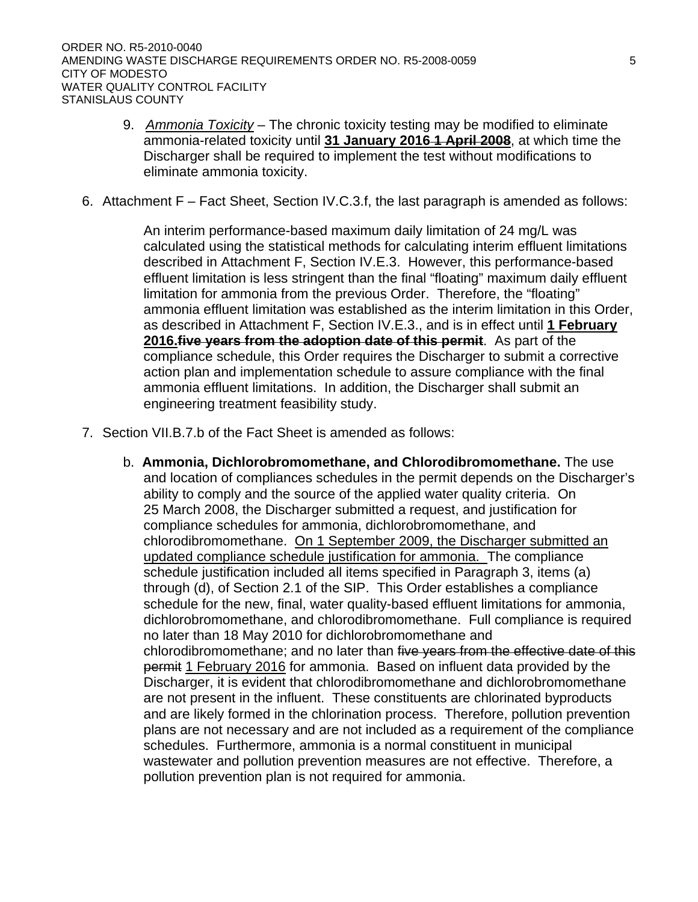- 9. *Ammonia Toxicity* The chronic toxicity testing may be modified to eliminate ammonia-related toxicity until **31 January 2016 1 April 2008**, at which time the Discharger shall be required to implement the test without modifications to eliminate ammonia toxicity.
- 6. Attachment F Fact Sheet, Section IV.C.3.f, the last paragraph is amended as follows:

An interim performance-based maximum daily limitation of 24 mg/L was calculated using the statistical methods for calculating interim effluent limitations described in [Attachment F, Section IV.E.3.](#page-0-0) However, this performance-based effluent limitation is less stringent than the final "floating" maximum daily effluent limitation for ammonia from the previous Order. Therefore, the "floating" ammonia effluent limitation was established as the interim limitation in this Order, as described in Attachment F, Section IV.E.3., and is in effect until **1 February 2016.five years from the adoption date of this permit**. As part of the compliance schedule, this Order requires the Discharger to submit a corrective action plan and implementation schedule to assure compliance with the final ammonia effluent limitations. In addition, the Discharger shall submit an engineering treatment feasibility study.

- 7. Section VII.B.7.b of the Fact Sheet is amended as follows:
	- b. **Ammonia, Dichlorobromomethane, and Chlorodibromomethane.** The use and location of compliances schedules in the permit depends on the Discharger's ability to comply and the source of the applied water quality criteria. On 25 March 2008, the Discharger submitted a request, and justification for compliance schedules for ammonia, dichlorobromomethane, and chlorodibromomethane. On 1 September 2009, the Discharger submitted an updated compliance schedule justification for ammonia. The compliance schedule justification included all items specified in Paragraph 3, items (a) through (d), of Section 2.1 of the SIP. This Order establishes a compliance schedule for the new, final, water quality-based effluent limitations for ammonia, dichlorobromomethane, and chlorodibromomethane. Full compliance is required no later than 18 May 2010 for dichlorobromomethane and chlorodibromomethane; and no later than five years from the effective date of this permit 1 February 2016 for ammonia. Based on influent data provided by the Discharger, it is evident that chlorodibromomethane and dichlorobromomethane are not present in the influent. These constituents are chlorinated byproducts and are likely formed in the chlorination process. Therefore, pollution prevention plans are not necessary and are not included as a requirement of the compliance schedules. Furthermore, ammonia is a normal constituent in municipal wastewater and pollution prevention measures are not effective. Therefore, a pollution prevention plan is not required for ammonia.